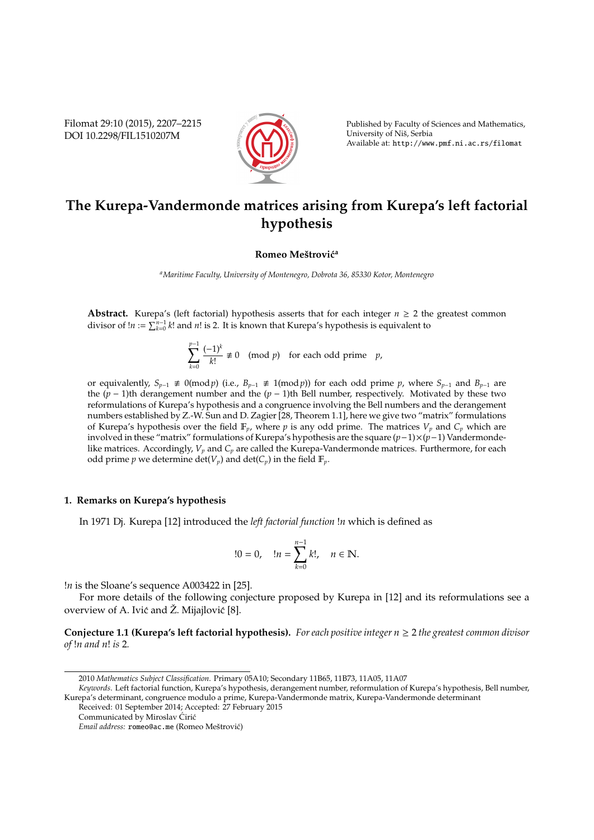Filomat 29:10 (2015), 2207–2215 DOI 10.2298/FIL1510207M



Published by Faculty of Sciences and Mathematics, University of Niš, Serbia Available at: http://www.pmf.ni.ac.rs/filomat

# **The Kurepa-Vandermonde matrices arising from Kurepa's left factorial hypothesis**

## **Romeo Meštrović**<sup>a</sup>

*<sup>a</sup>Maritime Faculty, University of Montenegro, Dobrota 36, 85330 Kotor, Montenegro*

**Abstract.** Kurepa's (left factorial) hypothesis asserts that for each integer  $n \geq 2$  the greatest common divisor of  $!n := \sum_{k=0}^{n-1} k!$  and *n*! is 2. It is known that Kurepa's hypothesis is equivalent to

> X *p*−1 *k*=0 (−1)*<sup>k</sup>*  $\frac{p_1}{k!} \neq 0 \pmod{p}$  for each odd prime *p*,

or equivalently,  $S_{p-1}$  ≢ 0(mod *p*) (i.e.,  $B_{p-1}$  ≢ 1(mod *p*)) for each odd prime *p*, where  $S_{p-1}$  and  $B_{p-1}$  are the (*p* − 1)th derangement number and the (*p* − 1)th Bell number, respectively. Motivated by these two reformulations of Kurepa's hypothesis and a congruence involving the Bell numbers and the derangement numbers established by Z.-W. Sun and D. Zagier [28, Theorem 1.1], here we give two "matrix" formulations of Kurepa's hypothesis over the field  $\mathbb{F}_p$ , where p is any odd prime. The matrices  $V_p$  and  $C_p$  which are involved in these "matrix" formulations of Kurepa's hypothesis are the square (*p*−1)×(*p*−1) Vandermondelike matrices. Accordingly, *V<sup>p</sup>* and *C<sup>p</sup>* are called the Kurepa-Vandermonde matrices. Furthermore, for each odd prime *p* we determine det( $V_p$ ) and det( $C_p$ ) in the field  $\mathbb{F}_p$ .

#### **1. Remarks on Kurepa's hypothesis**

In 1971 Dj. Kurepa [12] introduced the *left factorial function* !*n* which is defined as

$$
!0 = 0, \quad !n = \sum_{k=0}^{n-1} k!, \quad n \in \mathbb{N}.
$$

!*n* is the Sloane's sequence A003422 in [25].

For more details of the following conjecture proposed by Kurepa in [12] and its reformulations see a overview of A. Ivić and Ž. Mijajlović [8].

**Conjecture 1.1 (Kurepa's left factorial hypothesis).** *For each positive integer n* ≥ 2 *the greatest common divisor of* !*n and n*! *is* 2*.*

<sup>2010</sup> *Mathematics Subject Classification*. Primary 05A10; Secondary 11B65, 11B73, 11A05, 11A07

*Keywords*. Left factorial function, Kurepa's hypothesis, derangement number, reformulation of Kurepa's hypothesis, Bell number, Kurepa's determinant, congruence modulo a prime, Kurepa-Vandermonde matrix, Kurepa-Vandermonde determinant Received: 01 September 2014; Accepted: 27 February 2015

Communicated by Miroslav Ćirić

*Email address:* romeo@ac.me (Romeo Meštrović)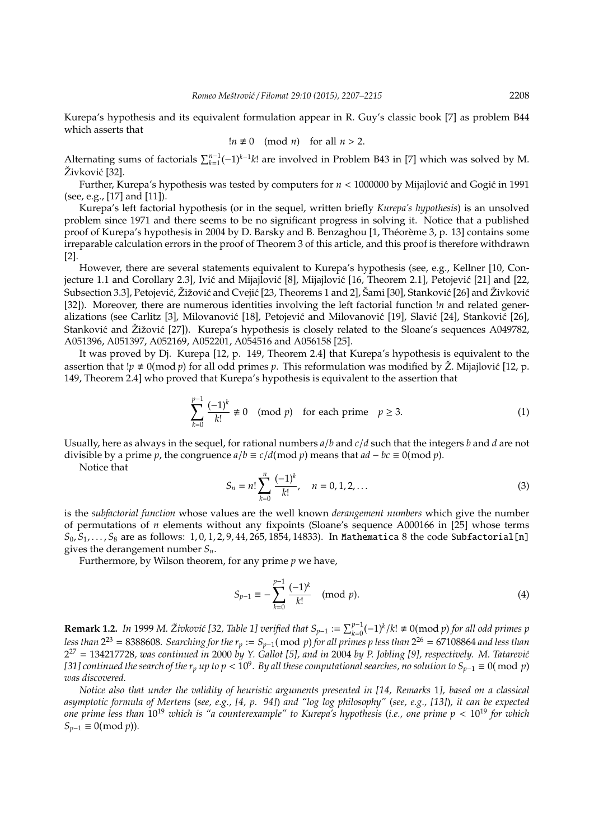Kurepa's hypothesis and its equivalent formulation appear in R. Guy's classic book [7] as problem B44 which asserts that

$$
\ln \neq 0 \pmod{n} \quad \text{for all } n > 2.
$$

Alternating sums of factorials  $\sum_{k=1}^{n-1}(-1)^{k-1}k!$  are involved in Problem B43 in [7] which was solved by M. Živković [32].

Further, Kurepa's hypothesis was tested by computers for  $n < 1000000$  by Mijajlović and Gogić in 1991 (see, e.g., [17] and [11]).

Kurepa's left factorial hypothesis (or in the sequel, written briefly *Kurepa's hypothesis*) is an unsolved problem since 1971 and there seems to be no significant progress in solving it. Notice that a published proof of Kurepa's hypothesis in 2004 by D. Barsky and B. Benzaghou [1, Théorème 3, p. 13] contains some irreparable calculation errors in the proof of Theorem 3 of this article, and this proof is therefore withdrawn [2].

However, there are several statements equivalent to Kurepa's hypothesis (see, e.g., Kellner [10, Conjecture 1.1 and Corollary 2.3], Ivić and Mijajlović [8], Mijajlović [16, Theorem 2.1], Petojević [21] and [22, Subsection 3.3], Petojević, Žižović and Cvejić [23, Theorems 1 and 2], Šami [30], Stanković [26] and Živković [32]). Moreover, there are numerous identities involving the left factorial function !*n* and related generalizations (see Carlitz [3], Milovanović [18], Petojević and Milovanović [19], Slavić [24], Stanković [26], Stanković and  $\tilde{Z}$ ižović [27]). Kurepa's hypothesis is closely related to the Sloane's sequences A049782, A051396, A051397, A052169, A052201, A054516 and A056158 [25].

It was proved by Dj. Kurepa [12, p. 149, Theorem 2.4] that Kurepa's hypothesis is equivalent to the assertion that  $\chi p \neq 0 \pmod{p}$  for all odd primes *p*. This reformulation was modified by  $\check{Z}$ . Mijajlović [12, p. 149, Theorem 2.4] who proved that Kurepa's hypothesis is equivalent to the assertion that

$$
\sum_{k=0}^{p-1} \frac{(-1)^k}{k!} \not\equiv 0 \pmod{p} \quad \text{for each prime} \quad p \ge 3. \tag{1}
$$

Usually, here as always in the sequel, for rational numbers *a*/*b* and *c*/*d* such that the integers *b* and *d* are not divisible by a prime *p*, the congruence  $a/b \equiv c/d \pmod{p}$  means that  $ad - bc \equiv 0 \pmod{p}$ .

Notice that

$$
S_n = n! \sum_{k=0}^{n} \frac{(-1)^k}{k!}, \quad n = 0, 1, 2, \dots
$$
 (3)

is the *subfactorial function* whose values are the well known *derangement numbers* which give the number of permutations of *n* elements without any fixpoints (Sloane's sequence A000166 in [25] whose terms *S*0, *S*1, . . . , *S*<sup>8</sup> are as follows: 1, 0, 1, 2, 9, 44, 265, 1854, 14833). In Mathematica 8 the code Subfactorial[n] gives the derangement number *Sn*.

Furthermore, by Wilson theorem, for any prime *p* we have,

$$
S_{p-1} \equiv -\sum_{k=0}^{p-1} \frac{(-1)^k}{k!} \pmod{p}.
$$
 (4)

**Remark 1.2.** *In* 1999 *M.* Živković [32, Table 1] verified that  $S_{p-1} := \sum_{k=0}^{p-1} (-1)^k / k! \neq 0 \pmod{p}$  for all odd primes p *less than* 2 <sup>23</sup> = 8388608*. Searching for the r<sup>p</sup>* := *Sp*−1( mod *p*) *for all primes p less than* 2 <sup>26</sup> = 67108864 *and less than* 2<sup>27</sup> = 134217728, was continued in 2000 by Y. Gallot [5], and in 2004 by P. Jobling [9], respectively. M. Tatarević *[31] continued the search of the r<sub>p</sub> up to p <*  $10^9$ *. By all these computational searches, no solution to S<sub>p−1</sub> ≡ 0( mod p) was discovered.*

*Notice also that under the validity of heuristic arguments presented in [14, Remarks* 1*], based on a classical asymptotic formula of Mertens* (*see, e.g., [4, p. 94]*) *and "log log philosophy"* (*see, e.g., [13]*)*, it can be expected one prime less than* 10<sup>19</sup> *which is "a counterexample" to Kurepa's hypothesis* (*i.e., one prime p* < 10<sup>19</sup> *for which*  $S_{p-1}$  ≡ 0(mod *p*)).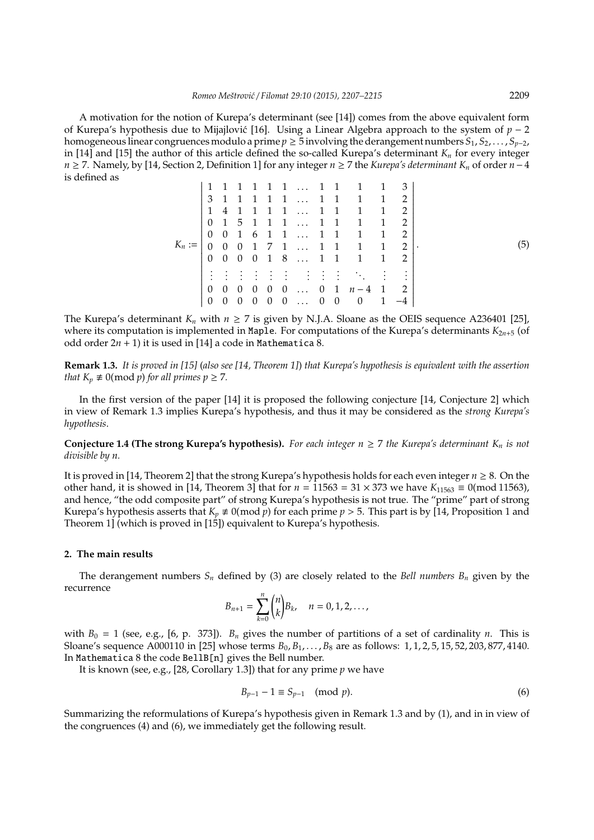A motivation for the notion of Kurepa's determinant (see [14]) comes from the above equivalent form of Kurepa's hypothesis due to Mijajlović [16]. Using a Linear Algebra approach to the system of  $p - 2$ homogeneous linear congruences modulo a prime  $p \ge 5$  involving the derangement numbers  $S_1, S_2, \ldots, S_{p-2}$ , in [14] and [15] the author of this article defined the so-called Kurepa's determinant  $K_n$  for every integer *n* ≥ 7. Namely, by [14, Section 2, Definition 1] for any integer *n* ≥ 7 the *Kurepa's determinant K<sup>n</sup>* of order *n*−4 is defined as

|          |                |                |                |          |                |                |                  |  | 1 1 1 1 … 1 1 1 1    |                                   | 3    |     |
|----------|----------------|----------------|----------------|----------|----------------|----------------|------------------|--|----------------------|-----------------------------------|------|-----|
|          |                |                |                |          |                |                |                  |  | 3 1 1 1 1 1  1 1 1   | 1                                 | 2    |     |
| $K_n :=$ | 1              | 4              |                |          |                |                | 1 1 1 1  1 1     |  | $\overline{1}$       | $\overline{1}$                    | 2    |     |
|          | $\overline{0}$ |                |                |          |                |                | 1 5 1 1 1  1 1 1 |  |                      | 1                                 | 2    |     |
|          | $\Omega$       | $\overline{0}$ |                |          |                |                | 1 6 1 1  1 1 1   |  |                      | $\begin{array}{cc} 1 \end{array}$ | 2    |     |
|          | $\Omega$       | $\overline{0}$ |                |          |                |                |                  |  | $0$ 1 7 1  1 1 1 1   |                                   | 2    | (5) |
|          |                | $0\quad 0$     |                |          |                |                | 0 0 1 8  1 1 1   |  |                      | $\begin{array}{cc} 1 \end{array}$ | 2    |     |
|          |                |                |                |          |                |                |                  |  | 法法法法法法法法 医心脏         |                                   |      |     |
|          | 0              | $\theta$       | - 0            | 0        | $\overline{0}$ |                |                  |  | $0 \ldots 0 1 n-4 1$ |                                   | - 2  |     |
|          | $\Omega$       | 0              | $\overline{0}$ | $\theta$ | $\overline{0}$ | $\overline{0}$ | $\ldots$ 0 0     |  | $\overline{0}$       | 1                                 | $-4$ |     |
|          |                |                |                |          |                |                |                  |  |                      |                                   |      |     |

The Kurepa's determinant  $K_n$  with  $n \ge 7$  is given by N.J.A. Sloane as the OEIS sequence A236401 [25], where its computation is implemented in Maple. For computations of the Kurepa's determinants  $K_{2n+5}$  (of odd order  $2n + 1$ ) it is used in [14] a code in Mathematica 8.

**Remark 1.3.** *It is proved in [15]* (*also see [14, Theorem 1]*) *that Kurepa's hypothesis is equivalent with the assertion that*  $K_p \neq 0 \pmod{p}$  *for all primes*  $p \geq 7$ *.* 

In the first version of the paper [14] it is proposed the following conjecture [14, Conjecture 2] which in view of Remark 1.3 implies Kurepa's hypothesis, and thus it may be considered as the *strong Kurepa's hypothesis*.

**Conjecture 1.4 (The strong Kurepa's hypothesis).** *For each integer*  $n \geq 7$  *the Kurepa's determinant K<sub>n</sub> is not divisible by n.*

It is proved in [14, Theorem 2] that the strong Kurepa's hypothesis holds for each even integer *n* ≥ 8. On the other hand, it is showed in [14, Theorem 3] that for  $n = 11563 = 31 \times 373$  we have  $K_{11563} \equiv 0 \pmod{11563}$ , and hence, "the odd composite part" of strong Kurepa's hypothesis is not true. The "prime" part of strong Kurepa's hypothesis asserts that  $K_p \neq 0 \pmod{p}$  for each prime  $p > 5$ . This part is by [14, Proposition 1 and Theorem 1] (which is proved in [15]) equivalent to Kurepa's hypothesis.

## **2. The main results**

The derangement numbers  $S_n$  defined by (3) are closely related to the *Bell numbers*  $B_n$  given by the recurrence

$$
B_{n+1} = \sum_{k=0}^{n} {n \choose k} B_k, \quad n = 0, 1, 2, \dots,
$$

with  $B_0 = 1$  (see, e.g., [6, p. 373]).  $B_n$  gives the number of partitions of a set of cardinality *n*. This is Sloane's sequence A000110 in [25] whose terms  $B_0, B_1, \ldots, B_8$  are as follows: 1, 1, 2, 5, 15, 52, 203, 877, 4140. In Mathematica 8 the code BellB[n] gives the Bell number.

It is known (see, e.g., [28, Corollary 1.3]) that for any prime *p* we have

$$
B_{p-1} - 1 \equiv S_{p-1} \pmod{p}.
$$
 (6)

Summarizing the reformulations of Kurepa's hypothesis given in Remark 1.3 and by (1), and in in view of the congruences (4) and (6), we immediately get the following result.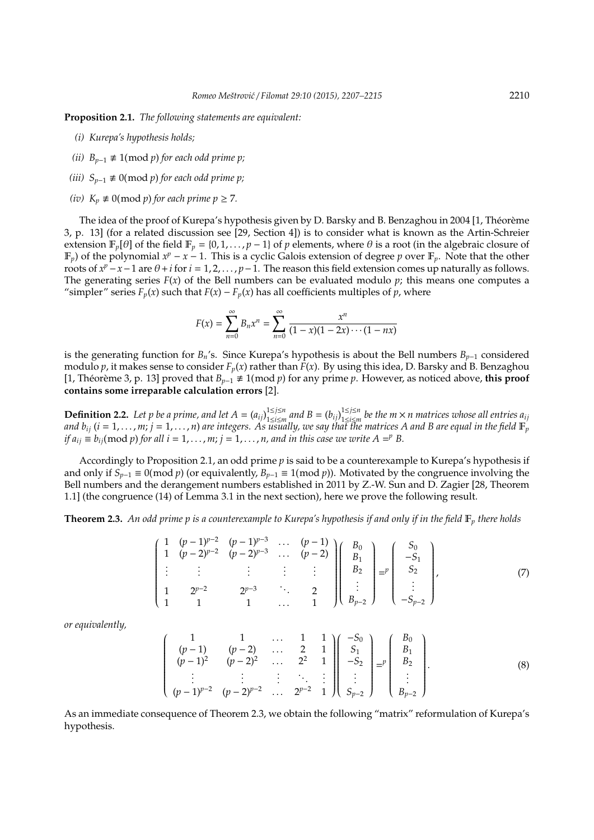**Proposition 2.1.** *The following statements are equivalent:*

- *(i) Kurepa's hypothesis holds;*
- *(ii)*  $B_{p-1}$  ≢ 1(mod *p*) *for each odd prime p*;
- *(iii)*  $S_{p-1}$  ≢ 0(mod *p*) *for each odd prime p*;
- *(iv)*  $K_p \neq 0 \pmod{p}$  *for each prime*  $p \geq 7$ *.*

The idea of the proof of Kurepa's hypothesis given by D. Barsky and B. Benzaghou in 2004 [1, Théorème 3, p. 13] (for a related discussion see [29, Section 4]) is to consider what is known as the Artin-Schreier extension  $\mathbb{F}_p[\theta]$  of the field  $\mathbb{F}_p = \{0, 1, \dots, p-1\}$  of *p* elements, where  $\theta$  is a root (in the algebraic closure of  $\mathbb{F}_p$ ) of the polynomial  $x^p - x - 1$ . This is a cyclic Galois extension of degree p over  $\mathbb{F}_p$ . Note that the other roots of  $x^p - x - 1$  are  $\theta + i$  for  $i = 1, 2, ..., p - 1$ . The reason this field extension comes up naturally as follows. The generating series  $F(x)$  of the Bell numbers can be evaluated modulo  $p$ ; this means one computes a "simpler" series  $F_p(x)$  such that  $F(x) - F_p(x)$  has all coefficients multiples of *p*, where

$$
F(x) = \sum_{n=0}^{\infty} B_n x^n = \sum_{n=0}^{\infty} \frac{x^n}{(1-x)(1-2x)\cdots(1-nx)}
$$

is the generating function for *B<sub>n</sub>*'s. Since Kurepa's hypothesis is about the Bell numbers  $B_{p-1}$  considered modulo  $p$ , it makes sense to consider  $F_p(x)$  rather than  $F(x)$ . By using this idea, D. Barsky and B. Benzaghou [1, Théorème 3, p. 13] proved that  $B_{p-1}$  ≢ 1(mod *p*) for any prime *p*. However, as noticed above, **this proof contains some irreparable calculation errors** [2].

**Definition 2.2.** Let p be a prime, and let  $A = (a_{ij})_{1 \le i \le n}^{1 \le j \le n}$ <sup>1≤*j*≤*n*</sup> and *B* =  $(b_{ij})_{1\leq i \leq n}^{1\leq j\leq n}$ 1≤*i*≤*m be the m* × *n matrices whose all entries aij and b*<sub>ij</sub> ( $i = 1, ..., m$ ;  $j = 1, ..., n$ ) are integers. As usually, we say that the matrices A and B are equal in the field  $\mathbb{F}_p^{\cdot}$ *if*  $a_{ij} \equiv b_{ij}(\text{mod } p)$  *for all i* = 1, . . . , *m*; *j* = 1, . . . , *n*, and *in this case we write*  $A =^p B$ .

Accordingly to Proposition 2.1, an odd prime *p* is said to be a counterexample to Kurepa's hypothesis if and only if  $S_{p-1} \equiv 0 \pmod{p}$  (or equivalently,  $B_{p-1} \equiv 1 \pmod{p}$ ). Motivated by the congruence involving the Bell numbers and the derangement numbers established in 2011 by Z.-W. Sun and D. Zagier [28, Theorem 1.1] (the congruence (14) of Lemma 3.1 in the next section), here we prove the following result.

**Theorem 2.3.** An odd prime p is a counterexample to Kurepa's hypothesis if and only if in the field  $\mathbb{F}_p$  there holds

$$
\begin{pmatrix}\n1 & (p-1)^{p-2} & (p-1)^{p-3} & \cdots & (p-1) \\
1 & (p-2)^{p-2} & (p-2)^{p-3} & \cdots & (p-2) \\
\vdots & \vdots & \vdots & \vdots & \vdots \\
1 & 2^{p-2} & 2^{p-3} & \cdots & 2 \\
1 & 1 & 1 & \cdots & 1\n\end{pmatrix}\n\begin{pmatrix}\nB_0 \\
B_1 \\
B_2 \\
\vdots \\
B_{p-2}\n\end{pmatrix} = p \begin{pmatrix}\nS_0 \\
-S_1 \\
S_2 \\
\vdots \\
-S_{p-2}\n\end{pmatrix},
$$
\n(7)

*or equivalently,*

$$
\begin{pmatrix}\n1 & 1 & \dots & 1 & 1 \\
(p-1) & (p-2) & \dots & 2 & 1 \\
(p-1)^2 & (p-2)^2 & \dots & 2^2 & 1 \\
\vdots & \vdots & \vdots & \ddots & \vdots \\
(p-1)^{p-2} & (p-2)^{p-2} & \dots & 2^{p-2} & 1\n\end{pmatrix}\n\begin{pmatrix}\n-S_0 \\
S_1 \\
-S_2 \\
\vdots \\
S_{p-2}\n\end{pmatrix}\n= p\n\begin{pmatrix}\nB_0 \\
B_1 \\
B_2 \\
\vdots \\
B_{p-2}\n\end{pmatrix}.
$$
\n(8)

As an immediate consequence of Theorem 2.3, we obtain the following "matrix" reformulation of Kurepa's hypothesis.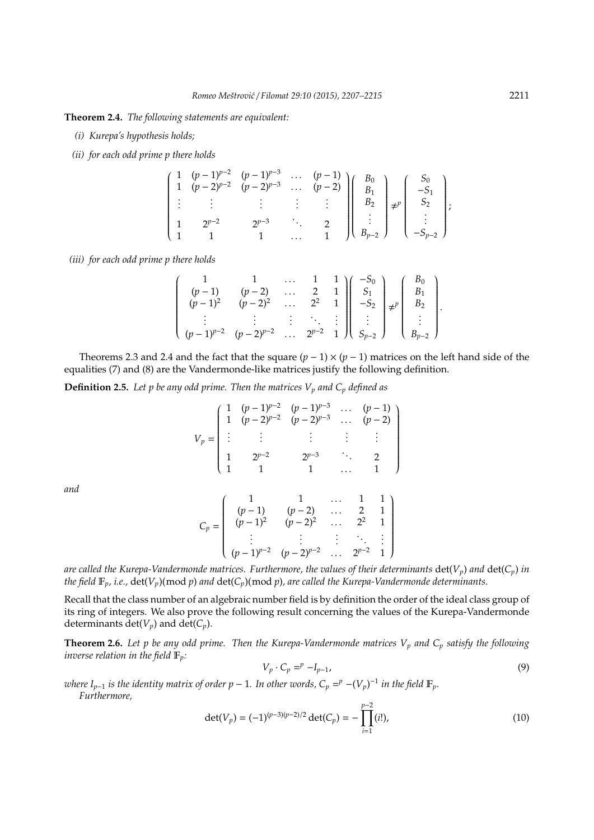**Theorem 2.4.** *The following statements are equivalent:*

- *(i) Kurepa's hypothesis holds;*
- *(ii) for each odd prime p there holds*

$$
\left(\begin{array}{cccccc} 1 & (p-1)^{p-2} & (p-1)^{p-3} & \cdots & (p-1) \\ 1 & (p-2)^{p-2} & (p-2)^{p-3} & \cdots & (p-2) \\ \vdots & \vdots & \vdots & \vdots & \vdots \\ 1 & 2^{p-2} & 2^{p-3} & \cdots & 2 \\ 1 & 1 & 1 & \cdots & 1 \end{array}\right)\left(\begin{array}{c} B_0 \\ B_1 \\ B_2 \\ \vdots \\ B_{p-2} \end{array}\right) \neq p \left(\begin{array}{c} S_0 \\ -S_1 \\ S_2 \\ \vdots \\ -S_{p-2} \end{array}\right);
$$

*(iii) for each odd prime p there holds*

$$
\left(\begin{array}{cccc}1&1&\ldots&1&1\\ (p-1)&(p-2)&\ldots&2&1\\ (p-1)^2&(p-2)^2&\ldots&2^2&1\\ \vdots&\vdots&\vdots&\ddots&\vdots\\ (p-1)^{p-2}&(p-2)^{p-2}&\ldots&2^{p-2}&1\end{array}\right)\left(\begin{array}{c} -S_0\\ S_1\\ -S_2\\ \vdots\\ S_{p-2}\end{array}\right)\neq^p\left(\begin{array}{c} B_0\\ B_1\\ B_2\\ \vdots\\ B_{p-2}\end{array}\right).
$$

Theorems 2.3 and 2.4 and the fact that the square  $(p - 1) \times (p - 1)$  matrices on the left hand side of the equalities (7) and (8) are the Vandermonde-like matrices justify the following definition.

**Definition 2.5.** *Let p be any odd prime. Then the matrices V<sup>p</sup> and C<sup>p</sup> defined as*

$$
V_p = \begin{pmatrix} 1 & (p-1)^{p-2} & (p-1)^{p-3} & \cdots & (p-1) \\ 1 & (p-2)^{p-2} & (p-2)^{p-3} & \cdots & (p-2) \\ \vdots & \vdots & \vdots & \vdots & \vdots \\ 1 & 2^{p-2} & 2^{p-3} & \cdots & 2 \\ 1 & 1 & 1 & \cdots & 1 \end{pmatrix}
$$

*and*

$$
C_p = \begin{pmatrix} 1 & 1 & \dots & 1 & 1 \\ (p-1) & (p-2) & \dots & 2 & 1 \\ (p-1)^2 & (p-2)^2 & \dots & 2^2 & 1 \\ \vdots & \vdots & \vdots & \ddots & \vdots \\ (p-1)^{p-2} & (p-2)^{p-2} & \dots & 2^{p-2} & 1 \end{pmatrix}
$$

are called the Kurepa-Vandermonde matrices. Furthermore, the values of their determinants  $det(V_p)$  and  $det(C_p)$  in *the field*  $\mathbb{F}_p$ *, i.e.,*  $\det(V_p)(\text{mod } p)$  *and*  $\det(C_p)(\text{mod } p)$ *, are called the Kurepa-Vandermonde determinants.* 

Recall that the class number of an algebraic number field is by definition the order of the ideal class group of its ring of integers. We also prove the following result concerning the values of the Kurepa-Vandermonde determinants det( $V_p$ ) and det( $C_p$ ).

**Theorem 2.6.** *Let p be any odd prime. Then the Kurepa-Vandermonde matrices V<sup>p</sup> and C<sup>p</sup> satisfy the following inverse relation in the field*  $\mathbb{F}_p$ *:* 

$$
V_p \cdot C_p =^p -I_{p-1},\tag{9}
$$

*where*  $I_{p-1}$  *is the identity matrix of order p* − 1*. In other words,*  $C_p =^p - (V_p)^{-1}$  *in the field*  $\mathbb{F}_p$ *. Furthermore,*

$$
\det(V_p) = (-1)^{(p-3)(p-2)/2} \det(C_p) = -\prod_{i=1}^{p-2} (i!), \tag{10}
$$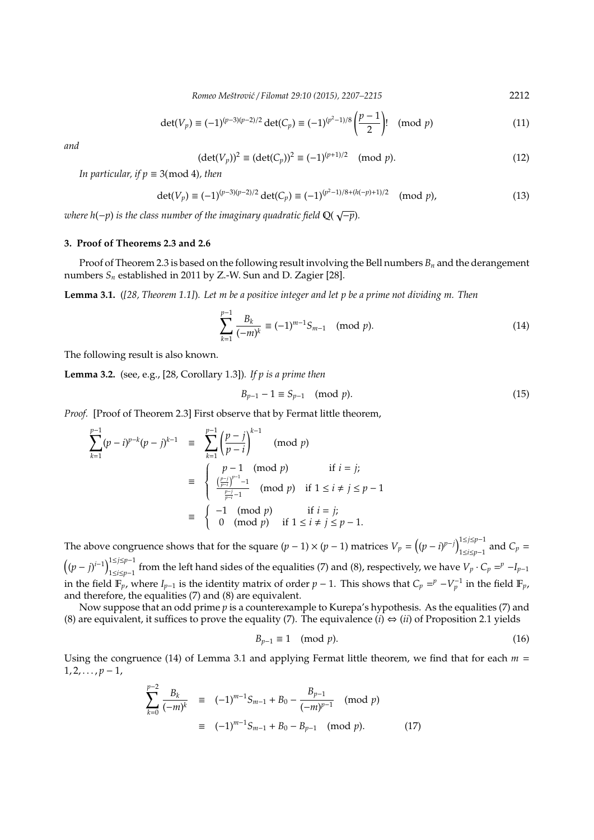*Romeo Meˇstrovi´c* / *Filomat 29:10 (2015), 2207–2215* 2212

$$
\det(V_p) \equiv (-1)^{(p-3)(p-2)/2} \det(C_p) \equiv (-1)^{(p^2-1)/8} \left(\frac{p-1}{2}\right)! \pmod{p}
$$
 (11)

*and*

$$
(\det(V_p))^2 \equiv (\det(C_p))^2 \equiv (-1)^{(p+1)/2} \pmod{p}.
$$
 (12)

*In particular, if*  $p \equiv 3 \pmod{4}$ *, then* 

$$
\det(V_p) \equiv (-1)^{(p-3)(p-2)/2} \det(C_p) \equiv (-1)^{(p^2-1)/8 + (h(-p)+1)/2} \pmod{p},\tag{13}
$$

*where h*(−*p*) *is the class number of the imaginary quadratic field* Q( √ −*p*)*.*

## **3. Proof of Theorems 2.3 and 2.6**

Proof of Theorem 2.3 is based on the following result involving the Bell numbers  $B_n$  and the derangement numbers *S<sup>n</sup>* established in 2011 by Z.-W. Sun and D. Zagier [28].

**Lemma 3.1.** (*[28, Theorem 1.1]*)*. Let m be a positive integer and let p be a prime not dividing m. Then*

$$
\sum_{k=1}^{p-1} \frac{B_k}{(-m)^k} \equiv (-1)^{m-1} S_{m-1} \pmod{p}.
$$
 (14)

The following result is also known.

**Lemma 3.2.** (see, e.g., [28, Corollary 1.3])*. If p is a prime then*

$$
B_{p-1} - 1 \equiv S_{p-1} \pmod{p}.
$$
 (15)

*Proof.* [Proof of Theorem 2.3] First observe that by Fermat little theorem,

$$
\sum_{k=1}^{p-1} (p-i)^{p-k} (p-j)^{k-1} \equiv \sum_{k=1}^{p-1} \left(\frac{p-j}{p-i}\right)^{k-1} \pmod{p}
$$
  

$$
\equiv \begin{cases} p-1 \pmod{p} & \text{if } i = j; \\ \frac{\left(\frac{p-j}{p-i}\right)^{p-1}-1}{\frac{p-j}{p-i}-1} \pmod{p} & \text{if } 1 \le i \ne j \le p-1 \\ 0 \pmod{p} & \text{if } i = j; \\ 0 \pmod{p} & \text{if } 1 \le i \ne j \le p-1. \end{cases}
$$

The above congruence shows that for the square  $(p-1) \times (p-1)$  matrices  $V_p = ((p-i)^{p-j})_{1 \leq i \leq p-1}^{1 \leq j \leq p-1}$  $\sum_{1 \le i \le p-1}^{p-1}$  and  $C_p =$  $((p - j)^{i-1})_{1 \le i \le n-1}^{1 \le j \le p-1}$ <sup>1≤*j*≤*p*<sup>−1</sup></sup> from the left hand sides of the equalities (7) and (8), respectively, we have  $V_p \cdot C_p = p - I_{p-1}$ in the field  $\mathbb{F}_p$ , where  $I_{p-1}$  is the identity matrix of order  $p-1$ . This shows that  $C_p = p - V_p^{-1}$  in the field  $\mathbb{F}_p$ , and therefore, the equalities (7) and (8) are equivalent.

Now suppose that an odd prime *p* is a counterexample to Kurepa's hypothesis. As the equalities (7) and (8) are equivalent, it suffices to prove the equality (7). The equivalence (*i*)  $\Leftrightarrow$  (*ii*) of Proposition 2.1 yields

$$
B_{p-1} \equiv 1 \pmod{p}.\tag{16}
$$

Using the congruence (14) of Lemma 3.1 and applying Fermat little theorem, we find that for each  $m =$  $1, 2, \ldots, p-1,$ 

$$
\sum_{k=0}^{p-2} \frac{B_k}{(-m)^k} \equiv (-1)^{m-1} S_{m-1} + B_0 - \frac{B_{p-1}}{(-m)^{p-1}} \pmod{p}
$$
  

$$
\equiv (-1)^{m-1} S_{m-1} + B_0 - B_{p-1} \pmod{p}.
$$
 (17)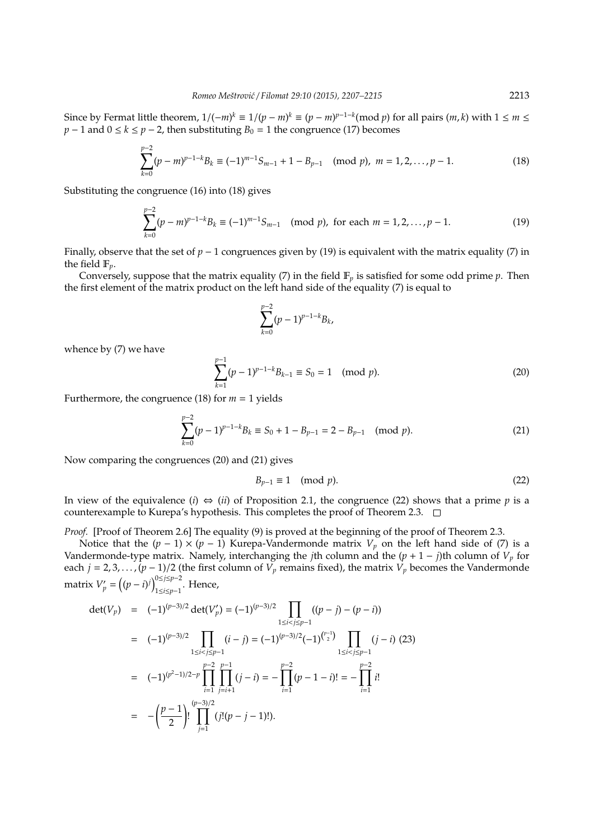Since by Fermat little theorem,  $1/(-m)^k \equiv 1/(p-m)^k \equiv (p-m)^{p-1-k} (\text{mod } p)$  for all pairs  $(m, k)$  with  $1 \le m \le k$ *p* − 1 and  $0 \le k \le p - 2$ , then substituting  $B_0 = 1$  the congruence (17) becomes

$$
\sum_{k=0}^{p-2} (p-m)^{p-1-k} B_k \equiv (-1)^{m-1} S_{m-1} + 1 - B_{p-1} \pmod{p}, \ m = 1, 2, \dots, p-1.
$$
 (18)

Substituting the congruence (16) into (18) gives

$$
\sum_{k=0}^{p-2} (p-m)^{p-1-k} B_k \equiv (-1)^{m-1} S_{m-1} \pmod{p}, \text{ for each } m = 1, 2, \dots, p-1.
$$
 (19)

Finally, observe that the set of *p* − 1 congruences given by (19) is equivalent with the matrix equality (7) in the field F*p*.

Conversely, suppose that the matrix equality  $(7)$  in the field  $\mathbb{F}_p$  is satisfied for some odd prime  $p$ . Then the first element of the matrix product on the left hand side of the equality (7) is equal to

$$
\sum_{k=0}^{p-2} (p-1)^{p-1-k} B_k,
$$

whence by (7) we have

$$
\sum_{k=1}^{p-1} (p-1)^{p-1-k} B_{k-1} \equiv S_0 = 1 \pmod{p}.
$$
 (20)

Furthermore, the congruence (18) for  $m = 1$  yields

$$
\sum_{k=0}^{p-2} (p-1)^{p-1-k} B_k \equiv S_0 + 1 - B_{p-1} = 2 - B_{p-1} \pmod{p}.
$$
 (21)

Now comparing the congruences (20) and (21) gives

$$
B_{p-1} \equiv 1 \pmod{p}.\tag{22}
$$

In view of the equivalence (*i*)  $\Leftrightarrow$  (*ii*) of Proposition 2.1, the congruence (22) shows that a prime *p* is a counterexample to Kurepa's hypothesis. This completes the proof of Theorem 2.3.

*Proof.* [Proof of Theorem 2.6] The equality (9) is proved at the beginning of the proof of Theorem 2.3.

Notice that the  $(p - 1) \times (p - 1)$  Kurepa-Vandermonde matrix  $V_p$  on the left hand side of (7) is a Vandermonde-type matrix. Namely, interchanging the *j*th column and the  $(p + 1 - j)$ th column of  $V_p$  for each  $j = 2, 3, ..., (p - 1)/2$  (the first column of  $V_p$  remains fixed), the matrix  $V_p$  becomes the Vandermonde matrix  $V'_p = ((p - i)^j)_{1 \le i \le n-1}^{0 \le j \le p-2}$ 1≤*i*≤*p*−1 . Hence,

$$
\begin{array}{rcl}\n\det(V_p) & = & (-1)^{(p-3)/2} \det(V'_p) = (-1)^{(p-3)/2} \prod_{1 \le i < j \le p-1} ((p-j) - (p-i)) \\
& = & (-1)^{(p-3)/2} \prod_{1 \le i < j \le p-1} (i-j) = (-1)^{(p-3)/2} (-1)^{\binom{p-1}{2}} \prod_{1 \le i < j \le p-1} (j-i) \tag{23} \\
& = & (-1)^{(p^2-1)/2-p} \prod_{i=1}^{p-2} \prod_{j=i+1}^{p-1} (j-i) = -\prod_{i=1}^{p-2} (p-1-i)! = -\prod_{i=1}^{p-2} i! \\
& = & -\left(\frac{p-1}{2}\right)! \prod_{j=1}^{(p-3)/2} (j!(p-j-1)!).\n\end{array}
$$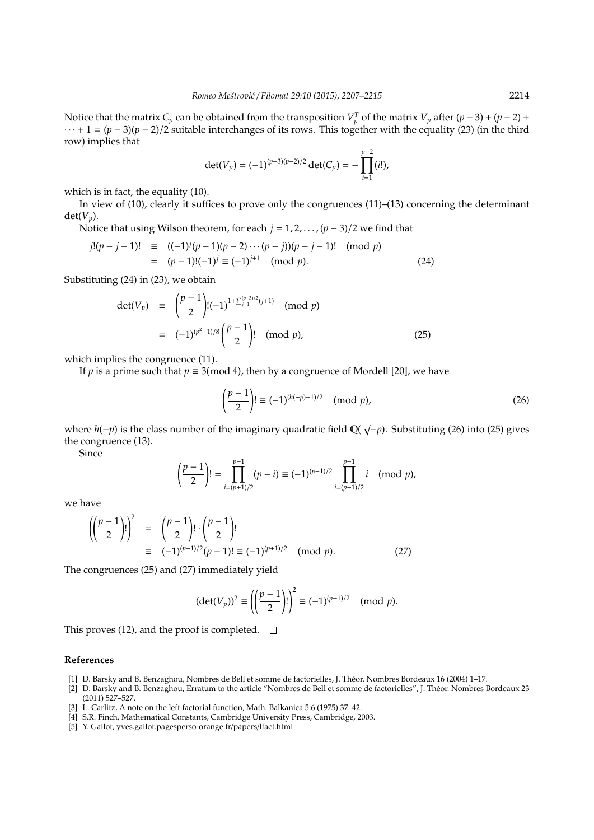Notice that the matrix  $C_p$  can be obtained from the transposition  $V_p^T$  of the matrix  $V_p$  after  $(p-3) + (p-2) +$  $\cdots$  + 1 =  $(p-3)(p-2)/2$  suitable interchanges of its rows. This together with the equality (23) (in the third row) implies that

$$
\det(V_p) = (-1)^{(p-3)(p-2)/2} \det(C_p) = - \prod_{i=1}^{p-2} (i!),
$$

which is in fact, the equality (10).

In view of (10), clearly it suffices to prove only the congruences (11)–(13) concerning the determinant  $det(V_n)$ .

Notice that using Wilson theorem, for each *j* = 1, 2, . . . ,(*p* − 3)/2 we find that

$$
j!(p-j-1)! \equiv ((-1)^{j}(p-1)(p-2)\cdots(p-j))(p-j-1)! \pmod{p}
$$
  
= (p-1)!(-1)^{j} \equiv (-1)^{j+1} \pmod{p}. (24)

Substituting (24) in (23), we obtain

$$
\begin{array}{rcl}\n\det(V_p) & \equiv & \left(\frac{p-1}{2}\right)! (-1)^{1+\sum_{j=1}^{(p-3)/2} (j+1)} \pmod{p} \\
& = & (-1)^{(p^2-1)/8} \left(\frac{p-1}{2}\right)! \pmod{p},\n\end{array} \tag{25}
$$

which implies the congruence (11).

If *p* is a prime such that  $p \equiv 3 \pmod{4}$ , then by a congruence of Mordell [20], we have

$$
\left(\frac{p-1}{2}\right)! \equiv (-1)^{(h(-p)+1)/2} \pmod{p},\tag{26}
$$

where *h*(−*p*) is the class number of the imaginary quadratic field Q( √ −*p*). Substituting (26) into (25) gives the congruence (13).

Since

$$
\left(\frac{p-1}{2}\right)! = \prod_{i=(p+1)/2}^{p-1} (p-i) \equiv (-1)^{(p-1)/2} \prod_{i=(p+1)/2}^{p-1} i \pmod{p},
$$

we have

$$
\left(\left(\frac{p-1}{2}\right)!\right)^2 = \left(\frac{p-1}{2}\right)!\cdot\left(\frac{p-1}{2}\right)!\n\equiv (-1)^{(p-1)/2}(p-1)!\equiv (-1)^{(p+1)/2} \pmod{p}.\n\tag{27}
$$

The congruences (25) and (27) immediately yield

$$
(\det(V_p))^2 \equiv \left( \left( \frac{p-1}{2} \right)! \right)^2 \equiv (-1)^{(p+1)/2} \pmod{p}.
$$

This proves (12), and the proof is completed.  $\square$ 

#### **References**

- [1] D. Barsky and B. Benzaghou, Nombres de Bell et somme de factorielles, J. Theor. Nombres Bordeaux 16 (2004) 1–17. ´
- [2] D. Barsky and B. Benzaghou, Erratum to the article "Nombres de Bell et somme de factorielles", J. Theor. Nombres Bordeaux 23 ´ (2011) 527–527.
- [3] L. Carlitz, A note on the left factorial function, Math. Balkanica 5:6 (1975) 37–42.
- [4] S.R. Finch, Mathematical Constants, Cambridge University Press, Cambridge, 2003.
- [5] Y. Gallot, yves.gallot.pagesperso-orange.fr/papers/lfact.html